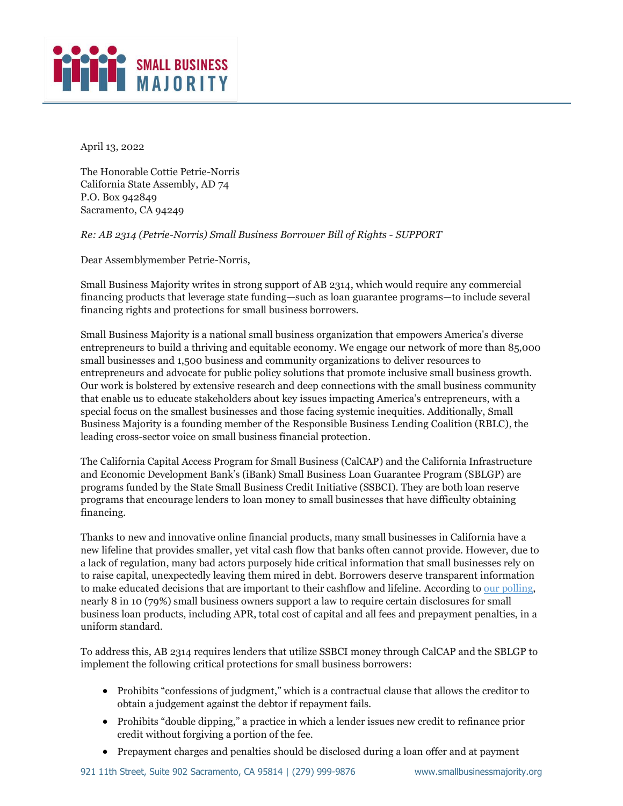

April 13, 2022

The Honorable Cottie Petrie-Norris California State Assembly, AD 74 P.O. Box 942849 Sacramento, CA 94249

*Re: AB 2314 (Petrie-Norris) Small Business Borrower Bill of Rights - SUPPORT* 

Dear Assemblymember Petrie-Norris,

Small Business Majority writes in strong support of AB 2314, which would require any commercial financing products that leverage state funding—such as loan guarantee programs—to include several financing rights and protections for small business borrowers.

Small Business Majority is a national small business organization that empowers America's diverse entrepreneurs to build a thriving and equitable economy. We engage our network of more than 85,000 small businesses and 1,500 business and community organizations to deliver resources to entrepreneurs and advocate for public policy solutions that promote inclusive small business growth. Our work is bolstered by extensive research and deep connections with the small business community that enable us to educate stakeholders about key issues impacting America's entrepreneurs, with a special focus on the smallest businesses and those facing systemic inequities. Additionally, Small Business Majority is a founding member of the Responsible Business Lending Coalition (RBLC), the leading cross-sector voice on small business financial protection.

The California Capital Access Program for Small Business (CalCAP) and the California Infrastructure and Economic Development Bank's (iBank) Small Business Loan Guarantee Program (SBLGP) are programs funded by the State Small Business Credit Initiative (SSBCI). They are both loan reserve programs that encourage lenders to loan money to small businesses that have difficulty obtaining financing.

Thanks to new and innovative online financial products, many small businesses in California have a new lifeline that provides smaller, yet vital cash flow that banks often cannot provide. However, due to a lack of regulation, many bad actors purposely hide critical information that small businesses rely on to raise capital, unexpectedly leaving them mired in debt. Borrowers deserve transparent information to make educated decisions that are important to their cashflow and lifeline. According t[o our polling,](https://smallbusinessmajority.org/our-research/entrepreneurship-freelance-economy/small-business-owners-say-government-doesn-t-understand-their-concerns-need-help-healthcare-costs-and-other-challenges) nearly 8 in 10 (79%) small business owners support a law to require certain disclosures for small business loan products, including APR, total cost of capital and all fees and prepayment penalties, in a uniform standard.

To address this, AB 2314 requires lenders that utilize SSBCI money through CalCAP and the SBLGP to implement the following critical protections for small business borrowers:

- Prohibits "confessions of judgment," which is a contractual clause that allows the creditor to obtain a judgement against the debtor if repayment fails.
- Prohibits "double dipping," a practice in which a lender issues new credit to refinance prior credit without forgiving a portion of the fee.
- Prepayment charges and penalties should be disclosed during a loan offer and at payment